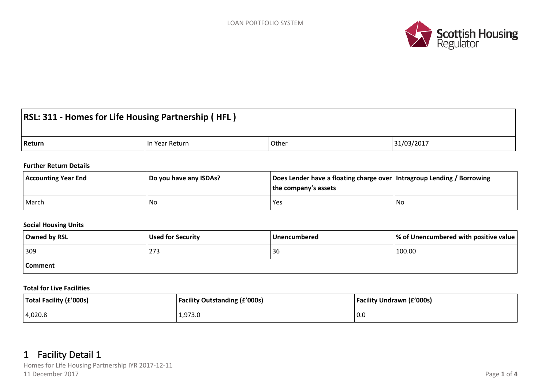

# **RSL: 311 - Homes for Life Housing Partnership ( HFL )**

| Return<br>tur | Other | 03/201<br>$\sim$ |
|---------------|-------|------------------|
|---------------|-------|------------------|

#### **Further Return Details**

| <b>Accounting Year End</b> | Do you have any ISDAs? | Does Lender have a floating charge over   Intragroup Lending / Borrowing<br>the company's assets |    |
|----------------------------|------------------------|--------------------------------------------------------------------------------------------------|----|
| March                      | No                     | Yes                                                                                              | No |

## **Social Housing Units**

| Owned by RSL | Used for Security | <b>Unencumbered</b> | $\vert\%$ of Unencumbered with positive value $\vert$ |
|--------------|-------------------|---------------------|-------------------------------------------------------|
| 309          | 273               | 36                  | 100.00                                                |
| Comment      |                   |                     |                                                       |

#### **Total for Live Facilities**

| Total Facility (£'000s) | <b>Facility Outstanding (£'000s)</b> | <b>Facility Undrawn (£'000s)</b> |
|-------------------------|--------------------------------------|----------------------------------|
| 4,020.8                 | 1,973.0                              | 0.0                              |

## **1 Facility Detail 1**

Homes for Life Housing Partnership IYR 2017-12-11 11 December 2017 Page **1** of **4**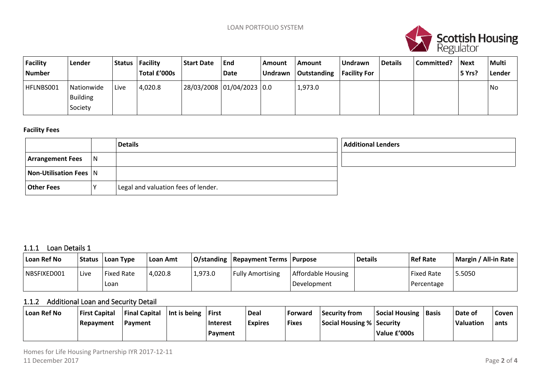

| Facility<br><b>Number</b> | Lender                            | <b>Status</b> | Facility<br>Total £'000s | <b>Start Date</b> | End<br>Date               | Amount<br><b>Undrawn</b> | <b>Amount</b><br>  Outstanding | Undrawn<br><b>Facility For</b> | <sup>1</sup> Details | Committed? | <b>Next</b><br>5 Yrs? | <b>Multi</b><br>Lender |
|---------------------------|-----------------------------------|---------------|--------------------------|-------------------|---------------------------|--------------------------|--------------------------------|--------------------------------|----------------------|------------|-----------------------|------------------------|
| HFLNBS001                 | Nationwide<br>Building<br>Society | Live          | 4,020.8                  |                   | 28/03/2008 01/04/2023 0.0 |                          | 1,973.0                        |                                |                      |            |                       | No                     |

#### **Facility Fees**

|                         |     | <b>Details</b>                      | Additional Lenders |
|-------------------------|-----|-------------------------------------|--------------------|
| <b>Arrangement Fees</b> | IN. |                                     |                    |
| Non-Utilisation Fees N  |     |                                     |                    |
| <b>Other Fees</b>       |     | Legal and valuation fees of lender. |                    |

## **1.1.1 Loan Details 1**

| Loan Ref No |      | Status   Loan Type | ∣ Loan Amt |         | O/standing   Repayment Terms   Purpose |                    | <b>Details</b> | <b>Ref Rate</b>   | Margin / All-in Rate |
|-------------|------|--------------------|------------|---------|----------------------------------------|--------------------|----------------|-------------------|----------------------|
| NBSFIXED001 | Live | <b>Fixed Rate</b>  | 4,020.8    | 1,973.0 | <b>Fully Amortising</b>                | Affordable Housing |                | <b>Fixed Rate</b> | 5.5050               |
|             |      | Loan               |            |         |                                        | Development        |                | Percentage        |                      |

## **1.1.2 Additional Loan and Security Detail**

| Loan Ref No | <b>First Capital</b> | <b>Final Capital</b> | $ $ Int is being | ∣First         | <b>Deal</b>    | Forward      | Security from                    | <b>Social Housing</b> | <b>Basis</b> | Date of          | Coven |
|-------------|----------------------|----------------------|------------------|----------------|----------------|--------------|----------------------------------|-----------------------|--------------|------------------|-------|
|             | Repayment            | Payment              |                  | Interest       | <b>Expires</b> | <b>Fixes</b> | <b>Social Housing % Security</b> |                       |              | <b>Valuation</b> | ants  |
|             |                      |                      |                  | <b>Payment</b> |                |              |                                  | Value £'000s          |              |                  |       |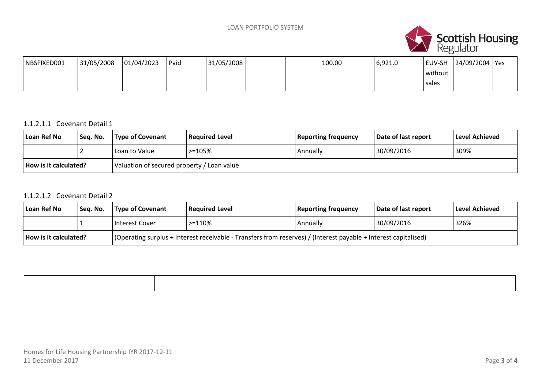

| NBSFIXED001 | 31/05/2008 | 01/04/2023 | Paid | 131/05/2008 |  | 100.00 | 6,921.0 | EUV-SH  | 24/09/2004   Yes |  |
|-------------|------------|------------|------|-------------|--|--------|---------|---------|------------------|--|
|             |            |            |      |             |  |        |         | without |                  |  |
|             |            |            |      |             |  |        |         | sales   |                  |  |

## 1.1.2.1.1 Covenant Detail 1

| Loan Ref No                   | Seq. No. | Type of Covenant                           | Required Level | Reporting frequency | Date of last report | Level Achieved |
|-------------------------------|----------|--------------------------------------------|----------------|---------------------|---------------------|----------------|
|                               |          | Loan to Value                              | $> = 105%$     | Annually            | 30/09/2016          | 309%           |
| $\vert$ How is it calculated? |          | Valuation of secured property / Loan value |                |                     |                     |                |

## 1.1.2.1.2 Covenant Detail 2

| Loan Ref No           | ' Seq. No. | Type of Covenant                                                                                                | <b>Required Level</b> | <b>Reporting frequency</b> | Date of last report | Level Achieved |
|-----------------------|------------|-----------------------------------------------------------------------------------------------------------------|-----------------------|----------------------------|---------------------|----------------|
|                       |            | Interest Cover                                                                                                  | $> = 110%$            | Annually                   | 30/09/2016          | 326%           |
| How is it calculated? |            | (Operating surplus + Interest receivable - Transfers from reserves) / (Interest payable + Interest capitalised) |                       |                            |                     |                |